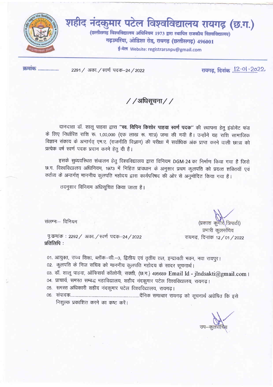

कमांक .................

2291 / अका. / स्वर्ण पदक-24 / 2022

रायगढ, दिनांक 12.01.2022

/ / अधिसूचना / /

दानदाता डॉ. शालू पाहवा द्वारा "स्व. विपिन किशोर पाहवा स्वर्ण पदक" की स्थापना हेतु इंडोमेंट फंड के लिए निर्धारित राशि रू. 1,00,000 (एक लाख रू. मात्र) जमा की गयी है। उन्होंने यह राशि सामाजिक विज्ञान संकाय के अन्तर्गत् एम.ए. (राजनीति विज्ञान) की परीक्षा में सर्वाधिक अंक प्राप्त करने वाली छात्रा को प्रत्येक वर्ष स्वर्ण पदक प्रदान करने हेतु दी है।

इसके सुव्यवस्थित संचालन हेतु विश्वविद्यालय द्वारा विनियम DGM-24 का निर्माण किया गया है जिसे छ.ग. विश्वविद्यालय अधिनियम, १९७३ में निहित प्रावधान के अनुसार प्रथम कुलपति को प्रदत्त शक्तियाँ एवं कर्तव्य के अन्तर्गत् माननीय कुलपति महोदय द्वारा कार्यपरिषद की ओर से अनुमोदित किया गया है।

तदनुसार विनियम अधिसूचित किया जाता है।

संलग्नः विनियम

(प्रकाश कुमार त्रिपाठी) प्रभारी कूलसंचिव रायगढ़, दिनांक 12/01/2022

पृ.कमांक: 2292/ अका./स्वर्ण पदक-24/2022 प्रतिलिपि:

01. आयुक्त, उच्च शिक्षा, ब्लॉक-सी.-3, द्वितीय एवं तृतीय तल, इन्द्रावती भवन, नवा रायपुर।

02. कुलपति के निज सचिव को माननीय कुलपति महोदय के सादर सूचनार्थ।

03. डॉ. शालू पाहवा, ऑफिसर्स कॉलोनी, सक्ती, (छ.ग.) 495689 Email Id - jlndsakti@gmail.com ।

04. प्राचार्य, समस्त सम्बद्ध महाविद्यालय, शहीद नंदकुमार पटेल विश्वविद्यालय, रायगढ़।

05. समस्त अधिकारी शहीद नंदकुमार पटेल विश्वविद्यालय, रायगढ़।

निशुल्क प्रकाशित करने का कष्ट करें।